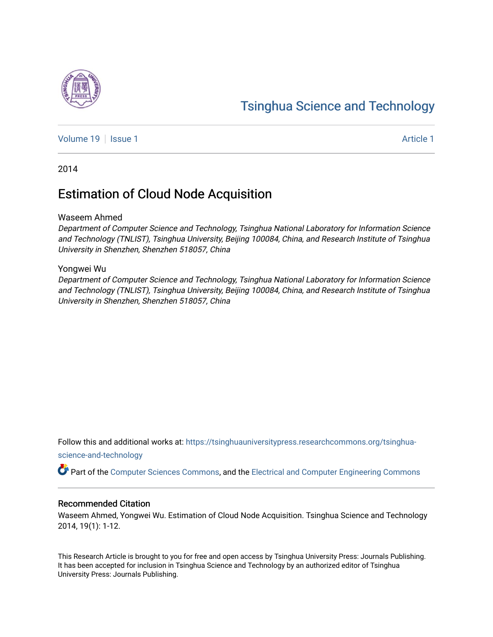# [Tsinghua Science and Technology](https://tsinghuauniversitypress.researchcommons.org/tsinghua-science-and-technology)

[Volume 19](https://tsinghuauniversitypress.researchcommons.org/tsinghua-science-and-technology/vol19) | [Issue 1](https://tsinghuauniversitypress.researchcommons.org/tsinghua-science-and-technology/vol19/iss1) Article 1

2014

## Estimation of Cloud Node Acquisition

## Waseem Ahmed

Department of Computer Science and Technology, Tsinghua National Laboratory for Information Science and Technology (TNLIST), Tsinghua University, Beijing 100084, China, and Research Institute of Tsinghua University in Shenzhen, Shenzhen 518057, China

## Yongwei Wu

Department of Computer Science and Technology, Tsinghua National Laboratory for Information Science and Technology (TNLIST), Tsinghua University, Beijing 100084, China, and Research Institute of Tsinghua University in Shenzhen, Shenzhen 518057, China

Follow this and additional works at: [https://tsinghuauniversitypress.researchcommons.org/tsinghua](https://tsinghuauniversitypress.researchcommons.org/tsinghua-science-and-technology?utm_source=tsinghuauniversitypress.researchcommons.org%2Ftsinghua-science-and-technology%2Fvol19%2Fiss1%2F1&utm_medium=PDF&utm_campaign=PDFCoverPages)[science-and-technology](https://tsinghuauniversitypress.researchcommons.org/tsinghua-science-and-technology?utm_source=tsinghuauniversitypress.researchcommons.org%2Ftsinghua-science-and-technology%2Fvol19%2Fiss1%2F1&utm_medium=PDF&utm_campaign=PDFCoverPages)

Part of the [Computer Sciences Commons](http://network.bepress.com/hgg/discipline/142?utm_source=tsinghuauniversitypress.researchcommons.org%2Ftsinghua-science-and-technology%2Fvol19%2Fiss1%2F1&utm_medium=PDF&utm_campaign=PDFCoverPages), and the [Electrical and Computer Engineering Commons](http://network.bepress.com/hgg/discipline/266?utm_source=tsinghuauniversitypress.researchcommons.org%2Ftsinghua-science-and-technology%2Fvol19%2Fiss1%2F1&utm_medium=PDF&utm_campaign=PDFCoverPages)

## Recommended Citation

Waseem Ahmed, Yongwei Wu. Estimation of Cloud Node Acquisition. Tsinghua Science and Technology 2014, 19(1): 1-12.

This Research Article is brought to you for free and open access by Tsinghua University Press: Journals Publishing. It has been accepted for inclusion in Tsinghua Science and Technology by an authorized editor of Tsinghua University Press: Journals Publishing.

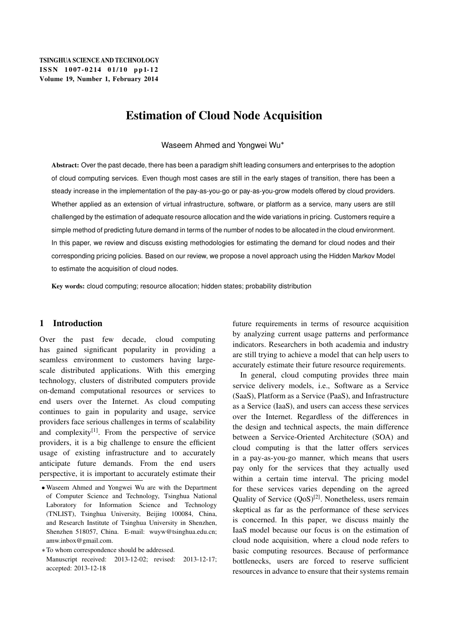## Estimation of Cloud Node Acquisition

Waseem Ahmed and Yongwei Wu

Abstract: Over the past decade, there has been a paradigm shift leading consumers and enterprises to the adoption of cloud computing services. Even though most cases are still in the early stages of transition, there has been a steady increase in the implementation of the pay-as-you-go or pay-as-you-grow models offered by cloud providers. Whether applied as an extension of virtual infrastructure, software, or platform as a service, many users are still challenged by the estimation of adequate resource allocation and the wide variations in pricing. Customers require a simple method of predicting future demand in terms of the number of nodes to be allocated in the cloud environment. In this paper, we review and discuss existing methodologies for estimating the demand for cloud nodes and their corresponding pricing policies. Based on our review, we propose a novel approach using the Hidden Markov Model to estimate the acquisition of cloud nodes.

Key words: cloud computing; resource allocation; hidden states; probability distribution

#### 1 Introduction

Over the past few decade, cloud computing has gained significant popularity in providing a seamless environment to customers having largescale distributed applications. With this emerging technology, clusters of distributed computers provide on-demand computational resources or services to end users over the Internet. As cloud computing continues to gain in popularity and usage, service providers face serious challenges in terms of scalability and complexity $[1]$ . From the perspective of service providers, it is a big challenge to ensure the efficient usage of existing infrastructure and to accurately anticipate future demands. From the end users perspective, it is important to accurately estimate their

future requirements in terms of resource acquisition by analyzing current usage patterns and performance indicators. Researchers in both academia and industry are still trying to achieve a model that can help users to accurately estimate their future resource requirements.

In general, cloud computing provides three main service delivery models, i.e., Software as a Service (SaaS), Platform as a Service (PaaS), and Infrastructure as a Service (IaaS), and users can access these services over the Internet. Regardless of the differences in the design and technical aspects, the main difference between a Service-Oriented Architecture (SOA) and cloud computing is that the latter offers services in a pay-as-you-go manner, which means that users pay only for the services that they actually used within a certain time interval. The pricing model for these services varies depending on the agreed Quality of Service  $(QoS)^{[2]}$ . Nonetheless, users remain skeptical as far as the performance of these services is concerned. In this paper, we discuss mainly the IaaS model because our focus is on the estimation of cloud node acquisition, where a cloud node refers to basic computing resources. Because of performance bottlenecks, users are forced to reserve sufficient resources in advance to ensure that their systems remain

Waseem Ahmed and Yongwei Wu are with the Department of Computer Science and Technology, Tsinghua National Laboratory for Information Science and Technology (TNLIST), Tsinghua University, Beijing 100084, China, and Research Institute of Tsinghua University in Shenzhen, Shenzhen 518057, China. E-mail: wuyw@tsinghua.edu.cn; amw.inbox@gmail.com.

To whom correspondence should be addressed. Manuscript received: 2013-12-02; revised: 2013-12-17; accepted: 2013-12-18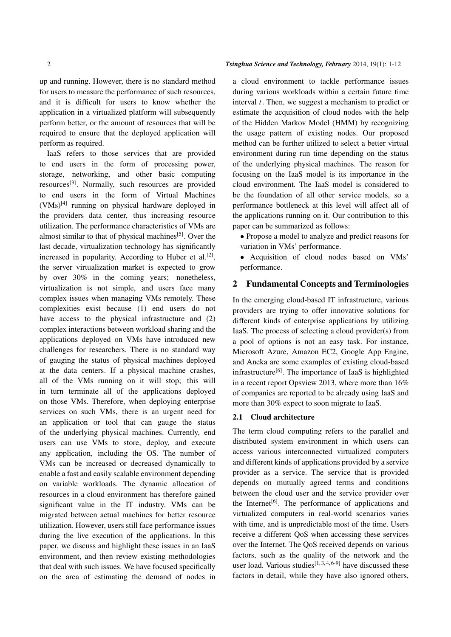up and running. However, there is no standard method for users to measure the performance of such resources, and it is difficult for users to know whether the application in a virtualized platform will subsequently perform better, or the amount of resources that will be required to ensure that the deployed application will perform as required.

IaaS refers to those services that are provided to end users in the form of processing power, storage, networking, and other basic computing resources[3]. Normally, such resources are provided to end users in the form of Virtual Machines  $(VMs)^{[4]}$  running on physical hardware deployed in the providers data center, thus increasing resource utilization. The performance characteristics of VMs are almost similar to that of physical machines<sup>[5]</sup>. Over the last decade, virtualization technology has significantly increased in popularity. According to Huber et al. $^{[2]}$ , the server virtualization market is expected to grow by over 30% in the coming years; nonetheless, virtualization is not simple, and users face many complex issues when managing VMs remotely. These complexities exist because (1) end users do not have access to the physical infrastructure and (2) complex interactions between workload sharing and the applications deployed on VMs have introduced new challenges for researchers. There is no standard way of gauging the status of physical machines deployed at the data centers. If a physical machine crashes, all of the VMs running on it will stop; this will in turn terminate all of the applications deployed on those VMs. Therefore, when deploying enterprise services on such VMs, there is an urgent need for an application or tool that can gauge the status of the underlying physical machines. Currently, end users can use VMs to store, deploy, and execute any application, including the OS. The number of VMs can be increased or decreased dynamically to enable a fast and easily scalable environment depending on variable workloads. The dynamic allocation of resources in a cloud environment has therefore gained significant value in the IT industry. VMs can be migrated between actual machines for better resource utilization. However, users still face performance issues during the live execution of the applications. In this paper, we discuss and highlight these issues in an IaaS environment, and then review existing methodologies that deal with such issues. We have focused specifically on the area of estimating the demand of nodes in

#### 2 *Tsinghua Science and Technology, February* 2014, 19(1): 1-12

a cloud environment to tackle performance issues during various workloads within a certain future time interval  $t$ . Then, we suggest a mechanism to predict or estimate the acquisition of cloud nodes with the help of the Hidden Markov Model (HMM) by recognizing the usage pattern of existing nodes. Our proposed method can be further utilized to select a better virtual environment during run time depending on the status of the underlying physical machines. The reason for focusing on the IaaS model is its importance in the cloud environment. The IaaS model is considered to be the foundation of all other service models, so a performance bottleneck at this level will affect all of the applications running on it. Our contribution to this paper can be summarized as follows:

- Propose a model to analyze and predict reasons for variation in VMs' performance.
- Acquisition of cloud nodes based on VMs' performance.

#### 2 Fundamental Concepts and Terminologies

In the emerging cloud-based IT infrastructure, various providers are trying to offer innovative solutions for different kinds of enterprise applications by utilizing IaaS. The process of selecting a cloud provider(s) from a pool of options is not an easy task. For instance, Microsoft Azure, Amazon EC2, Google App Engine, and Aneka are some examples of existing cloud-based infrastructure[6]. The importance of IaaS is highlighted in a recent report Opsview 2013, where more than 16% of companies are reported to be already using IaaS and more than 30% expect to soon migrate to IaaS.

### 2.1 Cloud architecture

The term cloud computing refers to the parallel and distributed system environment in which users can access various interconnected virtualized computers and different kinds of applications provided by a service provider as a service. The service that is provided depends on mutually agreed terms and conditions between the cloud user and the service provider over the Internet<sup>[6]</sup>. The performance of applications and virtualized computers in real-world scenarios varies with time, and is unpredictable most of the time. Users receive a different QoS when accessing these services over the Internet. The QoS received depends on various factors, such as the quality of the network and the user load. Various studies<sup>[1, 3, 4, 6-9]</sup> have discussed these factors in detail, while they have also ignored others,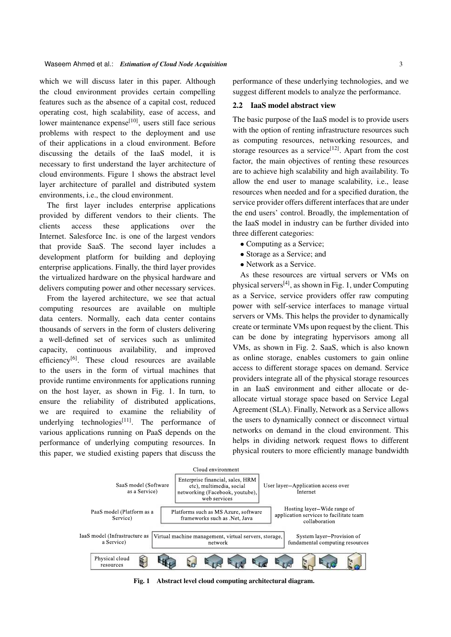which we will discuss later in this paper. Although the cloud environment provides certain compelling features such as the absence of a capital cost, reduced operating cost, high scalability, ease of access, and lower maintenance expense<sup>[10]</sup>, users still face serious problems with respect to the deployment and use of their applications in a cloud environment. Before discussing the details of the IaaS model, it is necessary to first understand the layer architecture of cloud environments. Figure 1 shows the abstract level layer architecture of parallel and distributed system environments, i.e., the cloud environment.

The first layer includes enterprise applications provided by different vendors to their clients. The clients access these applications over the Internet. Salesforce Inc. is one of the largest vendors that provide SaaS. The second layer includes a development platform for building and deploying enterprise applications. Finally, the third layer provides the virtualized hardware on the physical hardware and delivers computing power and other necessary services.

From the layered architecture, we see that actual computing resources are available on multiple data centers. Normally, each data center contains thousands of servers in the form of clusters delivering a well-defined set of services such as unlimited capacity, continuous availability, and improved efficiency<sup>[6]</sup>. These cloud resources are available to the users in the form of virtual machines that provide runtime environments for applications running on the host layer, as shown in Fig. 1. In turn, to ensure the reliability of distributed applications, we are required to examine the reliability of underlying technologies<sup>[11]</sup>. The performance of various applications running on PaaS depends on the performance of underlying computing resources. In this paper, we studied existing papers that discuss the performance of these underlying technologies, and we suggest different models to analyze the performance.

#### 2.2 IaaS model abstract view

The basic purpose of the IaaS model is to provide users with the option of renting infrastructure resources such as computing resources, networking resources, and storage resources as a service<sup>[12]</sup>. Apart from the cost factor, the main objectives of renting these resources are to achieve high scalability and high availability. To allow the end user to manage scalability, i.e., lease resources when needed and for a specified duration, the service provider offers different interfaces that are under the end users' control. Broadly, the implementation of the IaaS model in industry can be further divided into three different categories:

- Computing as a Service;
- Storage as a Service; and
- Network as a Service.

As these resources are virtual servers or VMs on physical servers<sup>[4]</sup>, as shown in Fig. 1, under Computing as a Service, service providers offer raw computing power with self-service interfaces to manage virtual servers or VMs. This helps the provider to dynamically create or terminate VMs upon request by the client. This can be done by integrating hypervisors among all VMs, as shown in Fig. 2. SaaS, which is also known as online storage, enables customers to gain online access to different storage spaces on demand. Service providers integrate all of the physical storage resources in an IaaS environment and either allocate or deallocate virtual storage space based on Service Legal Agreement (SLA). Finally, Network as a Service allows the users to dynamically connect or disconnect virtual networks on demand in the cloud environment. This helps in dividing network request flows to different physical routers to more efficiently manage bandwidth



Fig. 1 Abstract level cloud computing architectural diagram.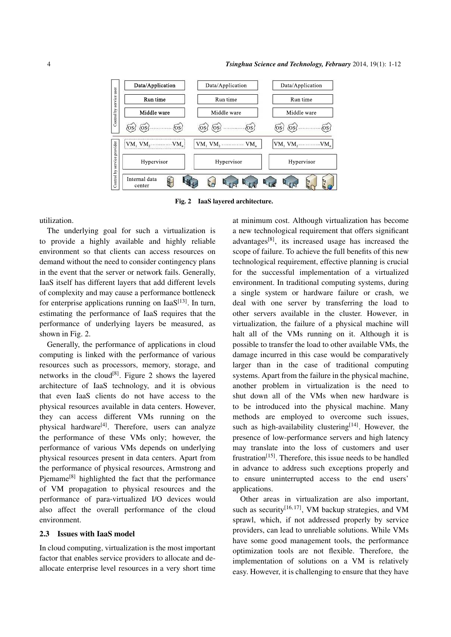

Fig. 2 IaaS layered architecture.

utilization.

The underlying goal for such a virtualization is to provide a highly available and highly reliable environment so that clients can access resources on demand without the need to consider contingency plans in the event that the server or network fails. Generally, IaaS itself has different layers that add different levels of complexity and may cause a performance bottleneck for enterprise applications running on  $IaaS^{[13]}$ . In turn, estimating the performance of IaaS requires that the performance of underlying layers be measured, as shown in Fig. 2.

Generally, the performance of applications in cloud computing is linked with the performance of various resources such as processors, memory, storage, and networks in the cloud<sup>[8]</sup>. Figure 2 shows the layered architecture of IaaS technology, and it is obvious that even IaaS clients do not have access to the physical resources available in data centers. However, they can access different VMs running on the physical hardware<sup>[4]</sup>. Therefore, users can analyze the performance of these VMs only; however, the performance of various VMs depends on underlying physical resources present in data centers. Apart from the performance of physical resources, Armstrong and Piemame<sup>[8]</sup> highlighted the fact that the performance of VM propagation to physical resources and the performance of para-virtualized I/O devices would also affect the overall performance of the cloud environment.

## 2.3 Issues with IaaS model

In cloud computing, virtualization is the most important factor that enables service providers to allocate and deallocate enterprise level resources in a very short time at minimum cost. Although virtualization has become a new technological requirement that offers significant advantages $^{[8]}$ , its increased usage has increased the scope of failure. To achieve the full benefits of this new technological requirement, effective planning is crucial for the successful implementation of a virtualized environment. In traditional computing systems, during a single system or hardware failure or crash, we deal with one server by transferring the load to other servers available in the cluster. However, in virtualization, the failure of a physical machine will halt all of the VMs running on it. Although it is possible to transfer the load to other available VMs, the damage incurred in this case would be comparatively larger than in the case of traditional computing systems. Apart from the failure in the physical machine, another problem in virtualization is the need to shut down all of the VMs when new hardware is to be introduced into the physical machine. Many methods are employed to overcome such issues, such as high-availability clustering<sup>[14]</sup>. However, the presence of low-performance servers and high latency may translate into the loss of customers and user frustration<sup>[15]</sup>. Therefore, this issue needs to be handled in advance to address such exceptions properly and to ensure uninterrupted access to the end users' applications.

Other areas in virtualization are also important, such as security<sup>[16, 17]</sup>, VM backup strategies, and VM sprawl, which, if not addressed properly by service providers, can lead to unreliable solutions. While VMs have some good management tools, the performance optimization tools are not flexible. Therefore, the implementation of solutions on a VM is relatively easy. However, it is challenging to ensure that they have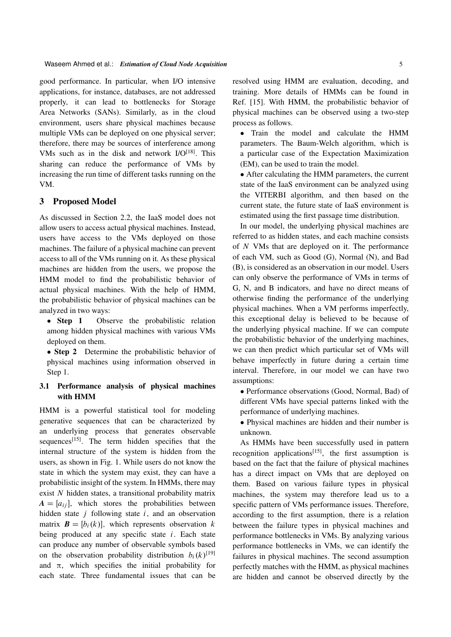good performance. In particular, when I/O intensive applications, for instance, databases, are not addressed properly, it can lead to bottlenecks for Storage Area Networks (SANs). Similarly, as in the cloud environment, users share physical machines because multiple VMs can be deployed on one physical server; therefore, there may be sources of interference among VMs such as in the disk and network  $I/O^{[18]}$ . This sharing can reduce the performance of VMs by increasing the run time of different tasks running on the VM.

#### 3 Proposed Model

As discussed in Section 2.2, the IaaS model does not allow users to access actual physical machines. Instead, users have access to the VMs deployed on those machines. The failure of a physical machine can prevent access to all of the VMs running on it. As these physical machines are hidden from the users, we propose the HMM model to find the probabilistic behavior of actual physical machines. With the help of HMM, the probabilistic behavior of physical machines can be analyzed in two ways:

• Step 1 Observe the probabilistic relation among hidden physical machines with various VMs deployed on them.

• Step 2 Determine the probabilistic behavior of physical machines using information observed in Step 1.

## 3.1 Performance analysis of physical machines with HMM

HMM is a powerful statistical tool for modeling generative sequences that can be characterized by an underlying process that generates observable sequences<sup>[15]</sup>. The term hidden specifies that the internal structure of the system is hidden from the users, as shown in Fig. 1. While users do not know the state in which the system may exist, they can have a probabilistic insight of the system. In HMMs, there may exist N hidden states, a transitional probability matrix  $A = [a_{ij}]$ , which stores the probabilities between hidden state  $i$  following state  $i$ , and an observation matrix  $\mathbf{B} = [b_i(k)]$ , which represents observation k being produced at any specific state  $i$ . Each state can produce any number of observable symbols based on the observation probability distribution  $b_i(k)^{[19]}$ and  $\pi$ , which specifies the initial probability for each state. Three fundamental issues that can be resolved using HMM are evaluation, decoding, and training. More details of HMMs can be found in Ref. [15]. With HMM, the probabilistic behavior of physical machines can be observed using a two-step process as follows.

• Train the model and calculate the HMM parameters. The Baum-Welch algorithm, which is a particular case of the Expectation Maximization (EM), can be used to train the model.

 After calculating the HMM parameters, the current state of the IaaS environment can be analyzed using the VITERBI algorithm, and then based on the current state, the future state of IaaS environment is estimated using the first passage time distribution.

In our model, the underlying physical machines are referred to as hidden states, and each machine consists of N VMs that are deployed on it. The performance of each VM, such as Good (G), Normal (N), and Bad (B), is considered as an observation in our model. Users can only observe the performance of VMs in terms of G, N, and B indicators, and have no direct means of otherwise finding the performance of the underlying physical machines. When a VM performs imperfectly, this exceptional delay is believed to be because of the underlying physical machine. If we can compute the probabilistic behavior of the underlying machines, we can then predict which particular set of VMs will behave imperfectly in future during a certain time interval. Therefore, in our model we can have two assumptions:

 Performance observations (Good, Normal, Bad) of different VMs have special patterns linked with the performance of underlying machines.

 Physical machines are hidden and their number is unknown.

As HMMs have been successfully used in pattern recognition applications<sup>[15]</sup>, the first assumption is based on the fact that the failure of physical machines has a direct impact on VMs that are deployed on them. Based on various failure types in physical machines, the system may therefore lead us to a specific pattern of VMs performance issues. Therefore, according to the first assumption, there is a relation between the failure types in physical machines and performance bottlenecks in VMs. By analyzing various performance bottlenecks in VMs, we can identify the failures in physical machines. The second assumption perfectly matches with the HMM, as physical machines are hidden and cannot be observed directly by the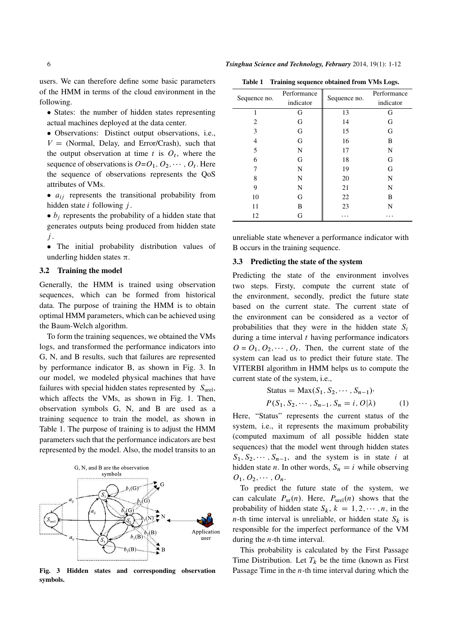Table 1 Training sequence obtained from VMs Logs.

users. We can therefore define some basic parameters of the HMM in terms of the cloud environment in the following.

• States: the number of hidden states representing actual machines deployed at the data center.

 Observations: Distinct output observations, i.e.,  $V = (Normal, Delay, and Error/Crash), such that$ the output observation at time t is  $O_t$ , where the sequence of observations is  $O = O_1, O_2, \cdots, O_t$ . Here the sequence of observations represents the QoS attributes of VMs.

 $\bullet$   $a_{ij}$  represents the transitional probability from hidden state  $i$  following  $j$ .

 $\bullet$  b<sub>i</sub> represents the probability of a hidden state that generates outputs being produced from hidden state  $\dot{j}$ .

 The initial probability distribution values of underling hidden states  $\pi$ .

#### 3.2 Training the model

Generally, the HMM is trained using observation sequences, which can be formed from historical data. The purpose of training the HMM is to obtain optimal HMM parameters, which can be achieved using the Baum-Welch algorithm.

To form the training sequences, we obtained the VMs logs, and transformed the performance indicators into G, N, and B results, such that failures are represented by performance indicator B, as shown in Fig. 3. In our model, we modeled physical machines that have failures with special hidden states represented by  $S_{\text{urel}}$ , which affects the VMs, as shown in Fig. 1. Then, observation symbols G, N, and B are used as a training sequence to train the model, as shown in Table 1. The purpose of training is to adjust the HMM parameters such that the performance indicators are best represented by the model. Also, the model transits to an



Fig. 3 Hidden states and corresponding observation symbols.

| Sequence no. | Performance | Sequence no. | Performance |
|--------------|-------------|--------------|-------------|
|              | indicator   |              | indicator   |
| 1            | G           | 13           | G           |
| 2            | G           | 14           | G           |
| 3            | G           | 15           | G           |
| 4            | G           | 16           | B           |
| 5            | N           | 17           | N           |
| 6            | G           | 18           | G           |
| 7            | N           | 19           | G           |
| 8            | N           | 20           | N           |
| 9            | N           | 21           | N           |
| 10           | G           | 22           | B           |
| 11           | В           | 23           | N           |
| 12           | G           |              |             |

unreliable state whenever a performance indicator with B occurs in the training sequence.

## 3.3 Predicting the state of the system

Predicting the state of the environment involves two steps. Firsty, compute the current state of the environment, secondly, predict the future state based on the current state. The current state of the environment can be considered as a vector of probabilities that they were in the hidden state  $S_i$ during a time interval  $t$  having performance indicators  $O = O_1, O_2, \dots, O_t$ . Then, the current state of the system can lead us to predict their future state. The VITERBI algorithm in HMM helps us to compute the current state of the system, i.e.,

\n
$$
\text{Status} = \text{Max}(S_1, S_2, \cdots, S_{n-1})
$$
\n

\n\n $P(S_1, S_2, \cdots, S_{n-1}, S_n = i, O | \lambda)$ \n

\n\n (1)\n

Here, "Status" represents the current status of the system, i.e., it represents the maximum probability (computed maximum of all possible hidden state sequences) that the model went through hidden states  $S_1, S_2, \dots, S_{n-1}$ , and the system is in state i at hidden state *n*. In other words,  $S_n = i$  while observing  $O_1$ ,  $O_2$ ,  $\cdots$ ,  $O_n$ .

To predict the future state of the system, we can calculate  $P_{\text{ur}}(n)$ . Here,  $P_{\text{urel}}(n)$  shows that the probability of hidden state  $S_k$ ,  $k = 1, 2, \cdots, n$ , in the *n*-th time interval is unreliable, or hidden state  $S_k$  is responsible for the imperfect performance of the VM during the  $n$ -th time interval.

This probability is calculated by the First Passage Time Distribution. Let  $T_k$  be the time (known as First Passage Time in the  $n$ -th time interval during which the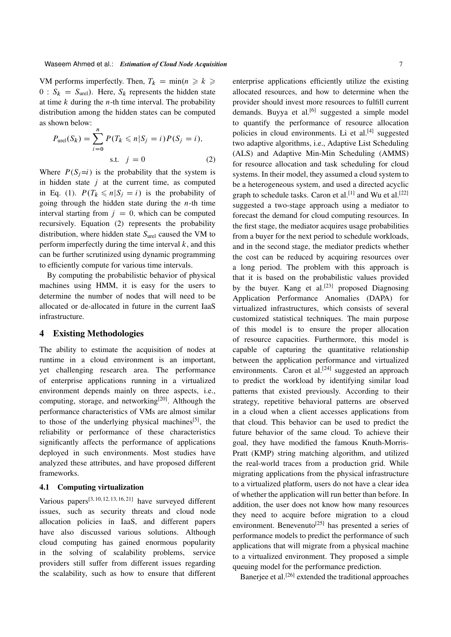VM performs imperfectly. Then,  $T_k = \min(n \ge k \ge 1$  $0: S_k = S_{\text{ure}}$ ). Here,  $S_k$  represents the hidden state at time  $k$  during the *n*-th time interval. The probability distribution among the hidden states can be computed as shown below:

$$
P_{\text{urel}}(S_k) = \sum_{i=0}^{n} P(T_k \leq n | S_j = i) P(S_j = i),
$$
  
s.t.  $j = 0$  (2)

Where  $P(S_i = i)$  is the probability that the system is in hidden state  $j$  at the current time, as computed in Eq. (1).  $P(T_k \le n | S_i = i)$  is the probability of going through the hidden state during the  $n$ -th time interval starting from  $j = 0$ , which can be computed recursively. Equation (2) represents the probability distribution, where hidden state  $S<sub>urel</sub>$  caused the VM to perform imperfectly during the time interval  $k$ , and this can be further scrutinized using dynamic programming to efficiently compute for various time intervals.

By computing the probabilistic behavior of physical machines using HMM, it is easy for the users to determine the number of nodes that will need to be allocated or de-allocated in future in the current IaaS infrastructure.

## 4 Existing Methodologies

The ability to estimate the acquisition of nodes at runtime in a cloud environment is an important, yet challenging research area. The performance of enterprise applications running in a virtualized environment depends mainly on three aspects, i.e., computing, storage, and networking<sup>[20]</sup>. Although the performance characteristics of VMs are almost similar to those of the underlying physical machines<sup>[5]</sup>, the reliability or performance of these characteristics significantly affects the performance of applications deployed in such environments. Most studies have analyzed these attributes, and have proposed different frameworks.

## 4.1 Computing virtualization

Various papers[3, 10, 12, 13, 16, 21] have surveyed different issues, such as security threats and cloud node allocation policies in IaaS, and different papers have also discussed various solutions. Although cloud computing has gained enormous popularity in the solving of scalability problems, service providers still suffer from different issues regarding the scalability, such as how to ensure that different enterprise applications efficiently utilize the existing allocated resources, and how to determine when the provider should invest more resources to fulfill current demands. Buyya et al.<sup>[6]</sup> suggested a simple model to quantify the performance of resource allocation policies in cloud environments. Li et al.<sup>[4]</sup> suggested two adaptive algorithms, i.e., Adaptive List Scheduling (ALS) and Adaptive Min-Min Scheduling (AMMS) for resource allocation and task scheduling for cloud systems. In their model, they assumed a cloud system to be a heterogeneous system, and used a directed acyclic graph to schedule tasks. Caron et al.<sup>[1]</sup> and Wu et al.<sup>[22]</sup> suggested a two-stage approach using a mediator to forecast the demand for cloud computing resources. In the first stage, the mediator acquires usage probabilities from a buyer for the next period to schedule workloads, and in the second stage, the mediator predicts whether the cost can be reduced by acquiring resources over a long period. The problem with this approach is that it is based on the probabilistic values provided by the buyer. Kang et al.<sup>[23]</sup> proposed Diagnosing Application Performance Anomalies (DAPA) for virtualized infrastructures, which consists of several customized statistical techniques. The main purpose of this model is to ensure the proper allocation of resource capacities. Furthermore, this model is capable of capturing the quantitative relationship between the application performance and virtualized environments. Caron et al.<sup>[24]</sup> suggested an approach to predict the workload by identifying similar load patterns that existed previously. According to their strategy, repetitive behavioral patterns are observed in a cloud when a client accesses applications from that cloud. This behavior can be used to predict the future behavior of the same cloud. To achieve their goal, they have modified the famous Knuth-Morris-Pratt (KMP) string matching algorithm, and utilized the real-world traces from a production grid. While migrating applications from the physical infrastructure to a virtualized platform, users do not have a clear idea of whether the application will run better than before. In addition, the user does not know how many resources they need to acquire before migration to a cloud environment. Benevenuto<sup>[25]</sup> has presented a series of performance models to predict the performance of such applications that will migrate from a physical machine to a virtualized environment. They proposed a simple queuing model for the performance prediction.

Banerjee et al.<sup>[26]</sup> extended the traditional approaches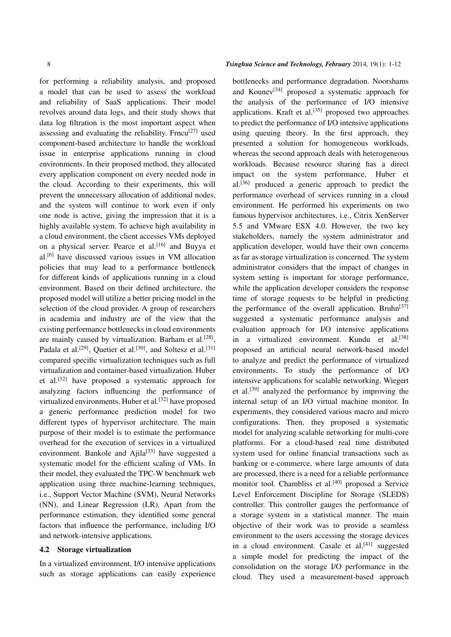for performing a reliability analysis, and proposed a model that can be used to assess the workload and reliability of SaaS applications. Their model revolves around data logs, and their study shows that data log filtration is the most important aspect when assessing and evaluating the reliability. Frncu<sup>[27]</sup> used component-based architecture to handle the workload issue in enterprise applications running in cloud environments. In their proposed method, they allocated every application component on every needed node in the cloud. According to their experiments, this will prevent the unnecessary allocation of additional nodes, and the system will continue to work even if only one node is active, giving the impression that it is a highly available system. To achieve high availability in a cloud environment, the client accesses VMs deployed on a physical server. Pearce et al.<sup>[16]</sup> and Buyya et al.[6] have discussed various issues in VM allocation policies that may lead to a performance bottleneck for different kinds of applications running in a cloud environment. Based on their defined architecture, the proposed model will utilize a better pricing model in the selection of the cloud provider. A group of researchers in academia and industry are of the view that the existing performance bottlenecks in cloud environments are mainly caused by virtualization. Barham et al.<sup>[28]</sup>, Padala et al.<sup>[29]</sup>, Quetier et al.<sup>[30]</sup>, and Soltesz et al.<sup>[31]</sup> compared specific virtualization techniques such as full virtualization and container-based virtualization. Huber et al.[32] have proposed a systematic approach for analyzing factors influencing the performance of virtualized environments. Huber et al.<sup>[32]</sup> have proposed a generic performance prediction model for two different types of hypervisor architecture. The main purpose of their model is to estimate the performance overhead for the execution of services in a virtualized environment. Bankole and  $A^{i[33]}$  have suggested a systematic model for the efficient scaling of VMs. In their model, they evaluated the TPC-W benchmark web application using three machine-learning techniques, i.e., Support Vector Machine (SVM), Neural Networks (NN), and Linear Regression (LR). Apart from the performance estimation, they identified some general factors that influence the performance, including I/O and network-intensive applications.

#### 4.2 Storage virtualization

In a virtualized environment, I/O intensive applications such as storage applications can easily experience bottlenecks and performance degradation. Noorshams and Kounev<sup>[34]</sup> proposed a systematic approach for the analysis of the performance of I/O intensive applications. Kraft et al.[35] proposed two approaches to predict the performance of I/O intensive applications using queuing theory. In the first approach, they presented a solution for homogeneous workloads, whereas the second approach deals with heterogeneous workloads. Because resource sharing has a direct impact on the system performance, Huber et al.[36] produced a generic approach to predict the performance overhead of services running in a cloud environment. He performed his experiments on two famous hypervisor architectures, i.e., Citrix XenServer 5.5 and VMware ESX 4.0. However, the two key stakeholders, namely the system administrator and application developer, would have their own concerns as far as storage virtualization is concerned. The system administrator considers that the impact of changes in system setting is important for storage performance, while the application developer considers the response time of storage requests to be helpful in predicting the performance of the overall application. Bruhn<sup>[37]</sup> suggested a systematic performance analysis and evaluation approach for I/O intensive applications in a virtualized environment. Kundu et al.<sup>[38]</sup> proposed an artificial neural network-based model to analyze and predict the performance of virtualized environments. To study the performance of I/O intensive applications for scalable networking, Wiegert et al.[39] analyzed the performance by improving the internal setup of an I/O virtual machine monitor. In experiments, they considered various macro and micro configurations. Then, they proposed a systematic model for analyzing scalable networking for multi-core platforms. For a cloud-based real time distributed system used for online financial transactions such as banking or e-commerce, where large amounts of data are processed, there is a need for a reliable performance monitor tool. Chambliss et al.<sup>[40]</sup> proposed a Service Level Enforcement Discipline for Storage (SLEDS) controller. This controller gauges the performance of a storage system in a statistical manner. The main objective of their work was to provide a seamless environment to the users accessing the storage devices in a cloud environment. Casale et al. $[41]$  suggested a simple model for predicting the impact of the consolidation on the storage I/O performance in the cloud. They used a measurement-based approach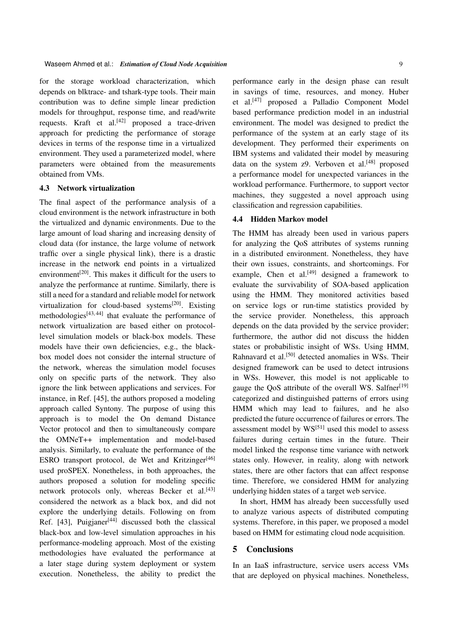for the storage workload characterization, which depends on blktrace- and tshark-type tools. Their main contribution was to define simple linear prediction models for throughput, response time, and read/write requests. Kraft et al. $[42]$  proposed a trace-driven approach for predicting the performance of storage devices in terms of the response time in a virtualized environment. They used a parameterized model, where parameters were obtained from the measurements obtained from VMs.

#### 4.3 Network virtualization

The final aspect of the performance analysis of a cloud environment is the network infrastructure in both the virtualized and dynamic environments. Due to the large amount of load sharing and increasing density of cloud data (for instance, the large volume of network traffic over a single physical link), there is a drastic increase in the network end points in a virtualized environment<sup>[20]</sup>. This makes it difficult for the users to analyze the performance at runtime. Similarly, there is still a need for a standard and reliable model for network virtualization for cloud-based systems[20]. Existing methodologies<sup>[43,44]</sup> that evaluate the performance of network virtualization are based either on protocollevel simulation models or black-box models. These models have their own deficiencies, e.g., the blackbox model does not consider the internal structure of the network, whereas the simulation model focuses only on specific parts of the network. They also ignore the link between applications and services. For instance, in Ref. [45], the authors proposed a modeling approach called Syntony. The purpose of using this approach is to model the On demand Distance Vector protocol and then to simultaneously compare the OMNeT++ implementation and model-based analysis. Similarly, to evaluate the performance of the ESRO transport protocol, de Wet and Kritzinger<sup>[46]</sup> used proSPEX. Nonetheless, in both approaches, the authors proposed a solution for modeling specific network protocols only, whereas Becker et al.<sup>[43]</sup> considered the network as a black box, and did not explore the underlying details. Following on from Ref.  $[43]$ , Puigjaner<sup> $[44]$ </sup> discussed both the classical black-box and low-level simulation approaches in his performance-modeling approach. Most of the existing methodologies have evaluated the performance at a later stage during system deployment or system execution. Nonetheless, the ability to predict the performance early in the design phase can result in savings of time, resources, and money. Huber et al.[47] proposed a Palladio Component Model based performance prediction model in an industrial environment. The model was designed to predict the performance of the system at an early stage of its development. They performed their experiments on IBM systems and validated their model by measuring data on the system  $z$ 9. Verboven et al.<sup>[48]</sup> proposed a performance model for unexpected variances in the workload performance. Furthermore, to support vector machines, they suggested a novel approach using classification and regression capabilities.

## 4.4 Hidden Markov model

The HMM has already been used in various papers for analyzing the QoS attributes of systems running in a distributed environment. Nonetheless, they have their own issues, constraints, and shortcomings. For example, Chen et al. $[49]$  designed a framework to evaluate the survivability of SOA-based application using the HMM. They monitored activities based on service logs or run-time statistics provided by the service provider. Nonetheless, this approach depends on the data provided by the service provider; furthermore, the author did not discuss the hidden states or probabilistic insight of WSs. Using HMM, Rahnavard et al.[50] detected anomalies in WSs. Their designed framework can be used to detect intrusions in WSs. However, this model is not applicable to gauge the QoS attribute of the overall WS. Salfner<sup>[19]</sup> categorized and distinguished patterns of errors using HMM which may lead to failures, and he also predicted the future occurrence of failures or errors. The assessment model by  $WS^{[51]}$  used this model to assess failures during certain times in the future. Their model linked the response time variance with network states only. However, in reality, along with network states, there are other factors that can affect response time. Therefore, we considered HMM for analyzing underlying hidden states of a target web service.

In short, HMM has already been successfully used to analyze various aspects of distributed computing systems. Therefore, in this paper, we proposed a model based on HMM for estimating cloud node acquisition.

## 5 Conclusions

In an IaaS infrastructure, service users access VMs that are deployed on physical machines. Nonetheless,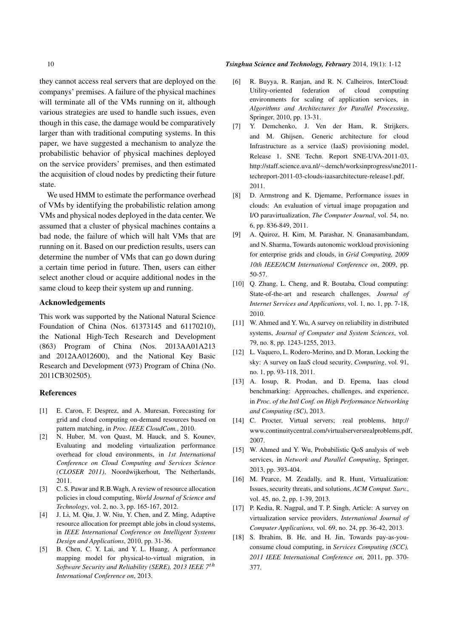they cannot access real servers that are deployed on the companys' premises. A failure of the physical machines will terminate all of the VMs running on it, although various strategies are used to handle such issues, even though in this case, the damage would be comparatively larger than with traditional computing systems. In this paper, we have suggested a mechanism to analyze the probabilistic behavior of physical machines deployed on the service providers' premises, and then estimated the acquisition of cloud nodes by predicting their future state.

We used HMM to estimate the performance overhead of VMs by identifying the probabilistic relation among VMs and physical nodes deployed in the data center. We assumed that a cluster of physical machines contains a bad node, the failure of which will halt VMs that are running on it. Based on our prediction results, users can determine the number of VMs that can go down during a certain time period in future. Then, users can either select another cloud or acquire additional nodes in the same cloud to keep their system up and running.

#### Acknowledgements

This work was supported by the National Natural Science Foundation of China (Nos. 61373145 and 61170210), the National High-Tech Research and Development (863) Program of China (Nos. 2013AA01A213 and 2012AA012600), and the National Key Basic Research and Development (973) Program of China (No. 2011CB302505).

#### References

- [1] E. Caron, F. Desprez, and A. Muresan, Forecasting for grid and cloud computing on-demand resources based on pattern matching, in *Proc. IEEE CloudCom.*, 2010.
- [2] N. Huber, M. von Quast, M. Hauck, and S. Kounev, Evaluating and modeling virtualization performance overhead for cloud environments, in *1st International Conference on Cloud Computing and Services Science (CLOSER 2011)*, Noordwijkerhout, The Netherlands, 2011.
- [3] C. S. Pawar and R.B.Wagh, A review of resource allocation policies in cloud computing, *World Journal of Science and Technology*, vol. 2, no. 3, pp. 165-167, 2012.
- [4] J. Li, M. Qiu, J. W. Niu, Y. Chen, and Z. Ming, Adaptive resource allocation for preempt able jobs in cloud systems, in *IEEE International Conference on Intelligent Systems Design and Applications*, 2010, pp. 31-36.
- [5] B. Chen, C. Y. Lai, and Y. L. Huang, A performance mapping model for physical-to-virtual migration, in *Software Security and Reliability (SERE), 2013 IEEE 7*th *International Conference on*, 2013.

#### 10 *Tsinghua Science and Technology, February* 2014, 19(1): 1-12

- [6] R. Buyya, R. Ranjan, and R. N. Calheiros, InterCloud: Utility-oriented federation of cloud computing environments for scaling of application services, in *Algorithms and Architectures for Parallel Processing*, Springer, 2010, pp. 13-31.
- [7] Y. Demchenko, J. Ven der Ham, R. Strijkers, and M. Ghijsen, Generic architecture for cloud Infrastructure as a service (IaaS) provisioning model, Release 1. SNE Techn. Report SNE-UVA-2011-03, http://staff.science.uva.nl/~demch/worksinprogress/sne2011techreport-2011-03-clouds-iaasarchitecture-release1.pdf, 2011.
- [8] D. Armstrong and K. Djemame, Performance issues in clouds: An evaluation of virtual image propagation and I/O paravirtualization, *The Computer Journal*, vol. 54, no. 6, pp. 836-849, 2011.
- [9] A. Quiroz, H. Kim, M. Parashar, N. Gnanasambandam, and N. Sharma, Towards autonomic workload provisioning for enterprise grids and clouds, in *Grid Computing, 2009 10th IEEE/ACM International Conference on*, 2009, pp. 50-57.
- [10] Q. Zhang, L. Cheng, and R. Boutaba, Cloud computing: State-of-the-art and research challenges, *Journal of Internet Services and Applications*, vol. 1, no. 1, pp. 7-18, 2010.
- [11] W. Ahmed and Y. Wu, A survey on reliability in distributed systems, *Journal of Computer and System Sciences*, vol. 79, no. 8, pp. 1243-1255, 2013.
- [12] L. Vaquero, L. Rodero-Merino, and D. Moran, Locking the sky: A survey on IaaS cloud security, *Computing*, vol. 91, no. 1, pp. 93-118, 2011.
- [13] A. Iosup, R. Prodan, and D. Epema, Iaas cloud benchmarking: Approaches, challenges, and experience, in *Proc. of the Intl Conf. on High Performance Networking and Computing (SC)*, 2013.
- [14] C. Procter, Virtual servers; real problems, http:// www.continuitycentral.com/virtualserversrealproblems.pdf, 2007.
- [15] W. Ahmed and Y. Wu, Probabilistic QoS analysis of web services, in *Network and Parallel Computing*, Springer, 2013, pp. 393-404.
- [16] M. Pearce, M. Zeadally, and R. Hunt, Virtualization: Issues, security threats, and solutions, *ACM Comput. Surv.*, vol. 45, no. 2, pp. 1-39, 2013.
- [17] P. Kedia, R. Nagpal, and T. P. Singh, Article: A survey on virtualization service providers, *International Journal of Computer Applications,* vol. 69, no. 24, pp. 36-42, 2013.
- [18] S. Ibrahim, B. He, and H. Jin, Towards pay-as-youconsume cloud computing, in *Services Computing (SCC), 2011 IEEE International Conference on*, 2011, pp. 370- 377.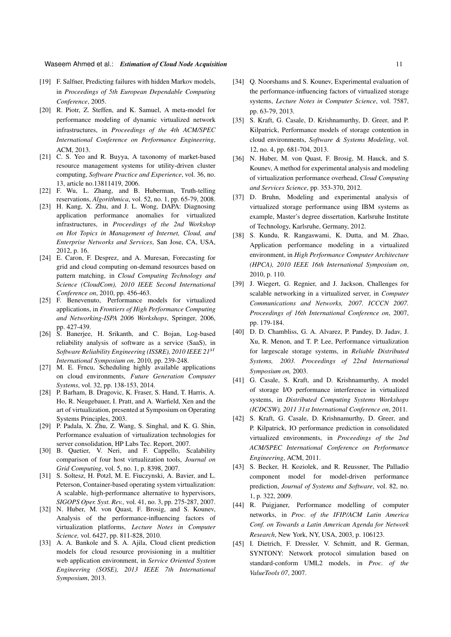- [19] F. Salfner, Predicting failures with hidden Markov models, in *Proceedings of 5th European Dependable Computing Conference*, 2005.
- [20] R. Piotr, Z. Steffen, and K. Samuel, A meta-model for performance modeling of dynamic virtualized network infrastructures, in *Proceedings of the 4th ACM/SPEC International Conference on Performance Engineering*, ACM, 2013.
- [21] C. S. Yeo and R. Buyya, A taxonomy of market-based resource management systems for utility-driven cluster computing, *Software Practice and Experience*, vol. 36, no. 13, article no.13811419, 2006.
- [22] F. Wu, L. Zhang, and B. Huberman, Truth-telling reservations, *Algorithmica*, vol. 52, no. 1, pp. 65-79, 2008.
- [23] H. Kang, X. Zhu, and J. L. Wong, DAPA: Diagnosing application performance anomalies for virtualized infrastructures, in *Proceedings of the 2nd Workshop on Hot Topics in Management of Internet, Cloud, and Enterprise Networks and Services*, San Jose, CA, USA, 2012, p. 16.
- [24] E. Caron, F. Desprez, and A. Muresan, Forecasting for grid and cloud computing on-demand resources based on pattern matching, in *Cloud Computing Technology and Science (CloudCom), 2010 IEEE Second International Conference on*, 2010, pp. 456-463.
- [25] F. Benevenuto, Performance models for virtualized applications, in *Frontiers of High Performance Computing and Networking-ISPA 2006 Workshops*, Springer, 2006, pp. 427-439.
- [26] S. Banerjee, H. Srikanth, and C. Bojan, Log-based reliability analysis of software as a service (SaaS), in *Software Reliability Engineering (ISSRE), 2010 IEEE 21*st *International Symposium on*, 2010, pp. 239-248.
- [27] M. E. Frncu, Scheduling highly available applications on cloud environments, *Future Generation Computer Systems*, vol. 32, pp. 138-153, 2014.
- [28] P. Barham, B. Dragovic, K. Fraser, S. Hand, T. Harris, A. Ho, R. Neugebauer, I. Pratt, and A. Warfield, Xen and the art of virtualization, presented at Symposium on Operating Systems Principles, 2003.
- [29] P. Padala, X. Zhu, Z. Wang, S. Singhal, and K. G. Shin, Performance evaluation of virtualization technologies for server consolidation, HP Labs Tec. Report, 2007.
- [30] B. Quetier, V. Neri, and F. Cappello, Scalability comparison of four host virtualization tools, *Journal on Grid Computing*, vol. 5, no. 1, p. 8398, 2007.
- [31] S. Soltesz, H. Potzl, M. E. Fiuczynski, A. Bavier, and L. Peterson, Container-based operating system virtualization: A scalable, high-performance alternative to hypervisors, *SIGOPS Oper. Syst. Rev.,* vol. 41, no. 3, pp. 275-287, 2007.
- [32] N. Huber, M. von Quast, F. Brosig, and S. Kounev, Analysis of the performance-influencing factors of virtualization platforms, *Lecture Notes in Computer Science,* vol. 6427, pp. 811-828, 2010.
- [33] A. A. Bankole and S. A. Ajila, Cloud client prediction models for cloud resource provisioning in a multitier web application environment, in *Service Oriented System Engineering (SOSE), 2013 IEEE 7th International Symposium*, 2013.
- [34] Q. Noorshams and S. Kounev, Experimental evaluation of the performance-influencing factors of virtualized storage systems, *Lecture Notes in Computer Science*, vol. 7587, pp. 63-79, 2013.
- [35] S. Kraft, G. Casale, D. Krishnamurthy, D. Greer, and P. Kilpatrick, Performance models of storage contention in cloud environments, *Software & Systems Modeling*, vol. 12, no. 4, pp. 681-704, 2013.
- [36] N. Huber, M. von Quast, F. Brosig, M. Hauck, and S. Kounev, A method for experimental analysis and modeling of virtualization performance overhead, *Cloud Computing and Services Science*, pp. 353-370, 2012.
- [37] D. Bruhn, Modeling and experimental analysis of virtualized storage performance using IBM systems as example, Master's degree dissertation, Karlsruhe Institute of Technology, Karlsruhe, Germany, 2012.
- [38] S. Kundu, R. Rangaswami, K. Dutta, and M. Zhao, Application performance modeling in a virtualized environment, in *High Performance Computer Architecture (HPCA), 2010 IEEE 16th International Symposium on*, 2010, p. 110.
- [39] J. Wiegert, G. Regnier, and J. Jackson, Challenges for scalable networking in a virtualized server, in *Computer Communications and Networks, 2007. ICCCN 2007. Proceedings of 16th International Conference on*, 2007, pp. 179-184.
- [40] D. D. Chambliss, G. A. Alvarez, P. Pandey, D. Jadav, J. Xu, R. Menon, and T. P. Lee, Performance virtualization for largescale storage systems, in *Reliable Distributed Systems, 2003. Proceedings of 22nd International Symposium on,* 2003.
- [41] G. Casale, S. Kraft, and D. Krishnamurthy, A model of storage I/O performance interference in virtualized systems, in *Distributed Computing Systems Workshops (ICDCSW), 2011 31st International Conference on*, 2011.
- [42] S. Kraft, G. Casale, D. Krishnamurthy, D. Greer, and P. Kilpatrick, IO performance prediction in consolidated virtualized environments, in *Proceedings of the 2nd ACM/SPEC International Conference on Performance Engineering*, ACM, 2011.
- [43] S. Becker, H. Koziolek, and R. Reussner, The Palladio component model for model-driven performance prediction, *Journal of Systems and Software*, vol. 82, no. 1, p. 322, 2009.
- [44] R. Puigjaner, Performance modelling of computer networks, in *Proc. of the IFIP/ACM Latin America Conf. on Towards a Latin American Agenda for Network Research*, New York, NY, USA, 2003, p. 106123.
- [45] I. Dietrich, F. Dressler, V. Schmitt, and R. German, SYNTONY: Network protocol simulation based on standard-conform UML2 models, in *Proc. of the ValueTools 07*, 2007.